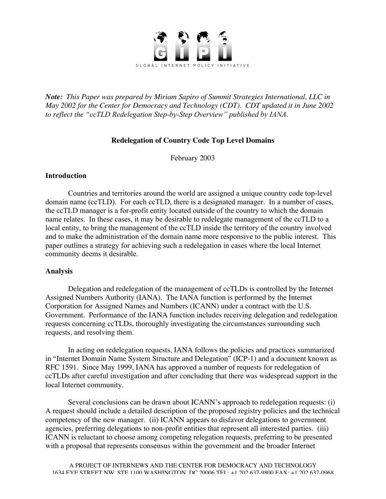

*Note: This Paper was prepared by Miriam Sapiro of Summit Strategies International, LLC in May 2002 for the Center for Democracy and Technology (CDT). CDT updated it in June 2002 to reflect the "ccTLD Redelegation Step-by-Step Overview" published by IANA.*

# **Redelegation of Country Code Top Level Domains**

February 2003

## **Introduction**

Countries and territories around the world are assigned a unique country code top-level domain name (ccTLD). For each ccTLD, there is a designated manager. In a number of cases, the ccTLD manager is a for-profit entity located outside of the country to which the domain name relates. In these cases, it may be desirable to redelegate management of the ccTLD to a local entity, to bring the management of the ccTLD inside the territory of the country involved and to make the administration of the domain name more responsive to the public interest. This paper outlines a strategy for achieving such a redelegation in cases where the local Internet community deems it desirable.

# **Analysis**

Delegation and redelegation of the management of ccTLDs is controlled by the Internet Assigned Numbers Authority (IANA). The IANA function is performed by the Internet Corporation for Assigned Names and Numbers (ICANN) under a contract with the U.S. Government. Performance of the IANA function includes receiving delegation and redelegation requests concerning ccTLDs, thoroughly investigating the circumstances surrounding such requests, and resolving them.

In acting on redelegation requests, IANA follows the policies and practices summarized in "Internet Domain Name System Structure and Delegation" (ICP-1) and a document known as RFC 1591. Since May 1999, IANA has approved a number of requests for redelegation of ccTLDs after careful investigation and after concluding that there was widespread support in the local Internet community.

Several conclusions can be drawn about ICANN's approach to redelegation requests: (i) A request should include a detailed description of the proposed registry policies and the technical competency of the new manager. (ii) ICANN appears to disfavor delegations to government agencies, preferring delegations to non-profit entities that represent all interested parties. (iii) ICANN is reluctant to choose among competing relegation requests, preferring to be presented with a proposal that represents consensus within the government and the broader Internet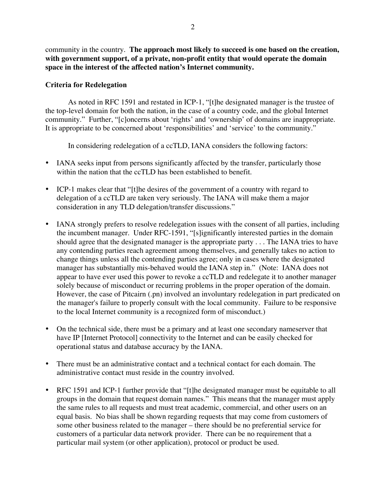community in the country. **The approach most likely to succeed is one based on the creation, with government support, of a private, non-profit entity that would operate the domain space in the interest of the affected nation's Internet community.**

## **Criteria for Redelegation**

As noted in RFC 1591 and restated in ICP-1, "[t]he designated manager is the trustee of the top-level domain for both the nation, in the case of a country code, and the global Internet community." Further, "[c]oncerns about 'rights' and 'ownership' of domains are inappropriate. It is appropriate to be concerned about 'responsibilities' and 'service' to the community."

In considering redelegation of a ccTLD, IANA considers the following factors:

IANA seeks input from persons significantly affected by the transfer, particularly those within the nation that the ccTLD has been established to benefit.

ICP-1 makes clear that "[t]he desires of the government of a country with regard to delegation of a ccTLD are taken very seriously. The IANA will make them a major consideration in any TLD delegation/transfer discussions."

IANA strongly prefers to resolve redelegation issues with the consent of all parties, including the incumbent manager. Under RFC-1591, "[s]ignificantly interested parties in the domain should agree that the designated manager is the appropriate party . . . The IANA tries to have any contending parties reach agreement among themselves, and generally takes no action to change things unless all the contending parties agree; only in cases where the designated manager has substantially mis-behaved would the IANA step in." (Note: IANA does not appear to have ever used this power to revoke a ccTLD and redelegate it to another manager solely because of misconduct or recurring problems in the proper operation of the domain. However, the case of Pitcairn (.pn) involved an involuntary redelegation in part predicated on the manager's failure to properly consult with the local community. Failure to be responsive to the local Internet community is a recognized form of misconduct.)

On the technical side, there must be a primary and at least one secondary nameserver that have IP [Internet Protocol] connectivity to the Internet and can be easily checked for operational status and database accuracy by the IANA.

There must be an administrative contact and a technical contact for each domain. The administrative contact must reside in the country involved.

RFC 1591 and ICP-1 further provide that "[t]he designated manager must be equitable to all groups in the domain that request domain names." This means that the manager must apply the same rules to all requests and must treat academic, commercial, and other users on an equal basis. No bias shall be shown regarding requests that may come from customers of some other business related to the manager – there should be no preferential service for customers of a particular data network provider. There can be no requirement that a particular mail system (or other application), protocol or product be used.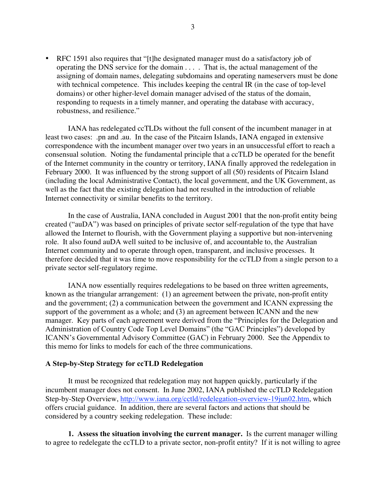RFC 1591 also requires that "[t]he designated manager must do a satisfactory job of operating the DNS service for the domain . . . . That is, the actual management of the assigning of domain names, delegating subdomains and operating nameservers must be done with technical competence. This includes keeping the central IR (in the case of top-level domains) or other higher-level domain manager advised of the status of the domain, responding to requests in a timely manner, and operating the database with accuracy, robustness, and resilience."

IANA has redelegated ccTLDs without the full consent of the incumbent manager in at least two cases: .pn and .au. In the case of the Pitcairn Islands, IANA engaged in extensive correspondence with the incumbent manager over two years in an unsuccessful effort to reach a consensual solution. Noting the fundamental principle that a ccTLD be operated for the benefit of the Internet community in the country or territory, IANA finally approved the redelegation in February 2000. It was influenced by the strong support of all (50) residents of Pitcairn Island (including the local Administrative Contact), the local government, and the UK Government, as well as the fact that the existing delegation had not resulted in the introduction of reliable Internet connectivity or similar benefits to the territory.

In the case of Australia, IANA concluded in August 2001 that the non-profit entity being created ("auDA") was based on principles of private sector self-regulation of the type that have allowed the Internet to flourish, with the Government playing a supportive but non-intervening role. It also found auDA well suited to be inclusive of, and accountable to, the Australian Internet community and to operate through open, transparent, and inclusive processes. It therefore decided that it was time to move responsibility for the ccTLD from a single person to a private sector self-regulatory regime.

IANA now essentially requires redelegations to be based on three written agreements, known as the triangular arrangement: (1) an agreement between the private, non-profit entity and the government; (2) a communication between the government and ICANN expressing the support of the government as a whole; and (3) an agreement between ICANN and the new manager. Key parts of each agreement were derived from the "Principles for the Delegation and Administration of Country Code Top Level Domains" (the "GAC Principles") developed by ICANN's Governmental Advisory Committee (GAC) in February 2000. See the Appendix to this memo for links to models for each of the three communications.

#### **A Step-by-Step Strategy for ccTLD Redelegation**

It must be recognized that redelegation may not happen quickly, particularly if the incumbent manager does not consent. In June 2002, IANA published the ccTLD Redelegation Step-by-Step Overview, http://www.iana.org/cctld/redelegation-overview-19jun02.htm, which offers crucial guidance. In addition, there are several factors and actions that should be considered by a country seeking redelegation. These include:

**1. Assess the situation involving the current manager.** Is the current manager willing to agree to redelegate the ccTLD to a private sector, non-profit entity? If it is not willing to agree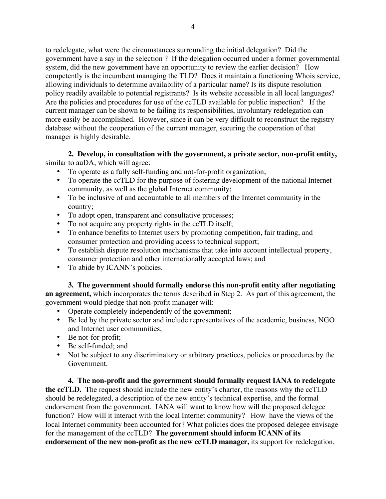to redelegate, what were the circumstances surrounding the initial delegation? Did the government have a say in the selection ? If the delegation occurred under a former governmental system, did the new government have an opportunity to review the earlier decision? How competently is the incumbent managing the TLD? Does it maintain a functioning Whois service, allowing individuals to determine availability of a particular name? Is its dispute resolution policy readily available to potential registrants? Is its website accessible in all local languages? Are the policies and procedures for use of the ccTLD available for public inspection? If the current manager can be shown to be failing its responsibilities, involuntary redelegation can more easily be accomplished. However, since it can be very difficult to reconstruct the registry database without the cooperation of the current manager, securing the cooperation of that manager is highly desirable.

**2. Develop, in consultation with the government, a private sector, non-profit entity,** similar to auDA, which will agree:

To operate as a fully self-funding and not-for-profit organization;

To operate the ccTLD for the purpose of fostering development of the national Internet community, as well as the global Internet community;

To be inclusive of and accountable to all members of the Internet community in the country;

To adopt open, transparent and consultative processes;

To not acquire any property rights in the ccTLD itself;

To enhance benefits to Internet users by promoting competition, fair trading, and consumer protection and providing access to technical support;

To establish dispute resolution mechanisms that take into account intellectual property, consumer protection and other internationally accepted laws; and

To abide by ICANN's policies.

**3. The government should formally endorse this non-profit entity after negotiating an agreement,** which incorporates the terms described in Step 2. As part of this agreement, the government would pledge that non-profit manager will:

Operate completely independently of the government;

Be led by the private sector and include representatives of the academic, business, NGO and Internet user communities;

Be not-for-profit;

Be self-funded; and

Not be subject to any discriminatory or arbitrary practices, policies or procedures by the Government.

**4. The non-profit and the government should formally request IANA to redelegate the ccTLD.** The request should include the new entity's charter, the reasons why the ccTLD should be redelegated, a description of the new entity's technical expertise, and the formal endorsement from the government. IANA will want to know how will the proposed delegee function? How will it interact with the local Internet community? How have the views of the local Internet community been accounted for? What policies does the proposed delegee envisage for the management of the ccTLD? **The government should inform ICANN of its endorsement of the new non-profit as the new ccTLD manager,** its support for redelegation,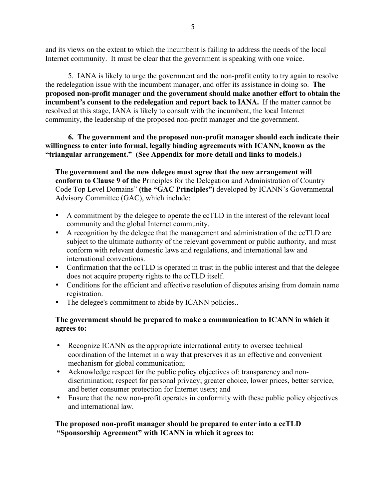and its views on the extent to which the incumbent is failing to address the needs of the local Internet community. It must be clear that the government is speaking with one voice.

5. IANA is likely to urge the government and the non-profit entity to try again to resolve the redelegation issue with the incumbent manager, and offer its assistance in doing so. **The proposed non-profit manager and the government should make another effort to obtain the incumbent's consent to the redelegation and report back to IANA.** If the matter cannot be resolved at this stage, IANA is likely to consult with the incumbent, the local Internet community, the leadership of the proposed non-profit manager and the government.

**6. The government and the proposed non-profit manager should each indicate their willingness to enter into formal, legally binding agreements with ICANN, known as the "triangular arrangement." (See Appendix for more detail and links to models.)**

**The government and the new delegee must agree that the new arrangement will conform to Clause 9 of the** Principles for the Delegation and Administration of Country Code Top Level Domains" **(the "GAC Principles")** developed by ICANN's Governmental Advisory Committee (GAC), which include:

A commitment by the delegee to operate the ccTLD in the interest of the relevant local community and the global Internet community.

A recognition by the delegee that the management and administration of the ccTLD are subject to the ultimate authority of the relevant government or public authority, and must conform with relevant domestic laws and regulations, and international law and international conventions.

Confirmation that the ccTLD is operated in trust in the public interest and that the delegee does not acquire property rights to the ccTLD itself.

Conditions for the efficient and effective resolution of disputes arising from domain name registration.

The delegee's commitment to abide by ICANN policies..

## **The government should be prepared to make a communication to ICANN in which it agrees to:**

Recognize ICANN as the appropriate international entity to oversee technical coordination of the Internet in a way that preserves it as an effective and convenient mechanism for global communication;

Acknowledge respect for the public policy objectives of: transparency and nondiscrimination; respect for personal privacy; greater choice, lower prices, better service, and better consumer protection for Internet users; and

Ensure that the new non-profit operates in conformity with these public policy objectives and international law.

# **The proposed non-profit manager should be prepared to enter into a ccTLD "Sponsorship Agreement" with ICANN in which it agrees to:**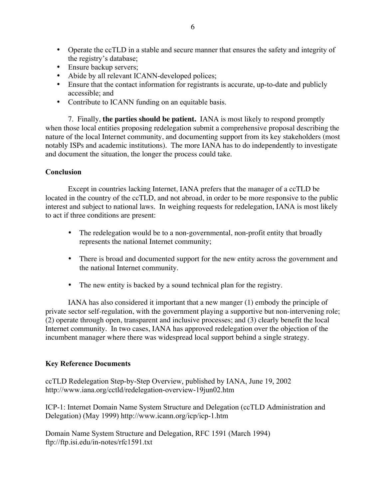Operate the ccTLD in a stable and secure manner that ensures the safety and integrity of the registry's database; Ensure backup servers; Abide by all relevant ICANN-developed polices; Ensure that the contact information for registrants is accurate, up-to-date and publicly accessible; and Contribute to ICANN funding on an equitable basis.

7. Finally, **the parties should be patient.** IANA is most likely to respond promptly when those local entities proposing redelegation submit a comprehensive proposal describing the nature of the local Internet community, and documenting support from its key stakeholders (most notably ISPs and academic institutions). The more IANA has to do independently to investigate and document the situation, the longer the process could take.

#### **Conclusion**

Except in countries lacking Internet, IANA prefers that the manager of a ccTLD be located in the country of the ccTLD, and not abroad, in order to be more responsive to the public interest and subject to national laws. In weighing requests for redelegation, IANA is most likely to act if three conditions are present:

> The redelegation would be to a non-governmental, non-profit entity that broadly represents the national Internet community;

There is broad and documented support for the new entity across the government and the national Internet community.

The new entity is backed by a sound technical plan for the registry.

IANA has also considered it important that a new manger (1) embody the principle of private sector self-regulation, with the government playing a supportive but non-intervening role; (2) operate through open, transparent and inclusive processes; and (3) clearly benefit the local Internet community. In two cases, IANA has approved redelegation over the objection of the incumbent manager where there was widespread local support behind a single strategy.

#### **Key Reference Documents**

ccTLD Redelegation Step-by-Step Overview, published by IANA, June 19, 2002 http://www.iana.org/cctld/redelegation-overview-19jun02.htm

ICP-1: Internet Domain Name System Structure and Delegation (ccTLD Administration and Delegation) (May 1999) http://www.icann.org/icp/icp-1.htm

Domain Name System Structure and Delegation, RFC 1591 (March 1994) ftp://ftp.isi.edu/in-notes/rfc1591.txt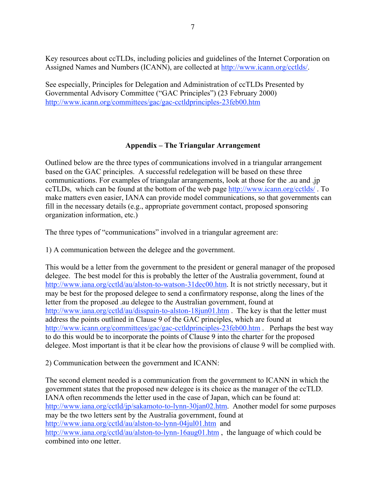Key resources about ccTLDs, including policies and guidelines of the Internet Corporation on Assigned Names and Numbers (ICANN), are collected at http://www.icann.org/cctlds/.

See especially, Principles for Delegation and Administration of ccTLDs Presented by Governmental Advisory Committee ("GAC Principles") (23 February 2000) http://www.icann.org/committees/gac/gac-cctldprinciples-23feb00.htm

# **Appendix – The Triangular Arrangement**

Outlined below are the three types of communications involved in a triangular arrangement based on the GAC principles. A successful redelegation will be based on these three communications. For examples of triangular arrangements, look at those for the .au and .jp ccTLDs, which can be found at the bottom of the web page http://www.icann.org/cctlds/ . To make matters even easier, IANA can provide model communications, so that governments can fill in the necessary details (e.g., appropriate government contact, proposed sponsoring organization information, etc.)

The three types of "communications" involved in a triangular agreement are:

1) A communication between the delegee and the government.

This would be a letter from the government to the president or general manager of the proposed delegee. The best model for this is probably the letter of the Australia government, found at http://www.iana.org/cctld/au/alston-to-watson-31dec00.htm. It is not strictly necessary, but it may be best for the proposed delegee to send a confirmatory response, along the lines of the letter from the proposed .au delegee to the Australian government, found at http://www.iana.org/cctld/au/disspain-to-alston-18jun01.htm . The key is that the letter must address the points outlined in Clause 9 of the GAC principles, which are found at http://www.icann.org/committees/gac/gac-cctldprinciples-23feb00.htm . Perhaps the best way to do this would be to incorporate the points of Clause 9 into the charter for the proposed delegee. Most important is that it be clear how the provisions of clause 9 will be complied with.

2) Communication between the government and ICANN:

The second element needed is a communication from the government to ICANN in which the government states that the proposed new delegee is its choice as the manager of the ccTLD. IANA often recommends the letter used in the case of Japan, which can be found at: http://www.iana.org/cctld/jp/sakamoto-to-lynn-30jan02.htm. Another model for some purposes may be the two letters sent by the Australia government, found at http://www.iana.org/cctld/au/alston-to-lynn-04jul01.htm and http://www.iana.org/cctld/au/alston-to-lynn-16aug01.htm, the language of which could be combined into one letter.